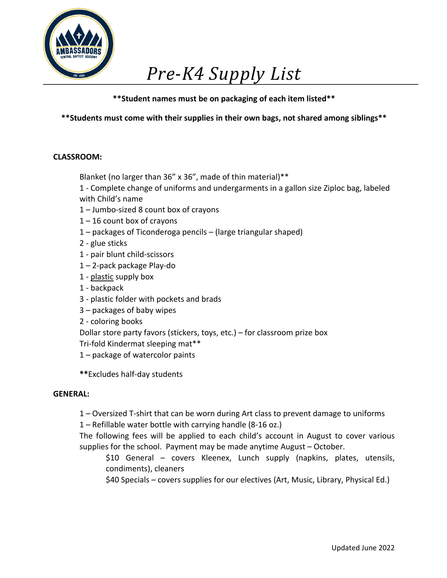

# *Pre-K4 Supply List*

**\*\*Student names must be on packaging of each item listed\*\***

**\*\*Students must come with their supplies in their own bags, not shared among siblings\*\***

## **CLASSROOM:**

Blanket (no larger than 36" x 36", made of thin material)\*\*

 1 - Complete change of uniforms and undergarments in a gallon size Ziploc bag, labeled with Child's name

- 1 Jumbo-sized 8 count box of crayons
- $1 16$  count box of crayons
- 1 packages of Ticonderoga pencils (large triangular shaped)
- 2 glue sticks
- 1 pair blunt child-scissors
- 1 2-pack package Play-do
- 1 plastic supply box
- 1 backpack
- 3 plastic folder with pockets and brads
- 3 packages of baby wipes
- 2 coloring books

Dollar store party favors (stickers, toys, etc.) – for classroom prize box

- Tri-fold Kindermat sleeping mat\*\*
- 1 package of watercolor paints
- **\*\***Excludes half-day students

### **GENERAL:**

- 1 Oversized T-shirt that can be worn during Art class to prevent damage to uniforms
- 1 Refillable water bottle with carrying handle (8-16 oz.)

 The following fees will be applied to each child's account in August to cover various supplies for the school. Payment may be made anytime August – October.

 \$10 General – covers Kleenex, Lunch supply (napkins, plates, utensils, condiments), cleaners

\$40 Specials – covers supplies for our electives (Art, Music, Library, Physical Ed.)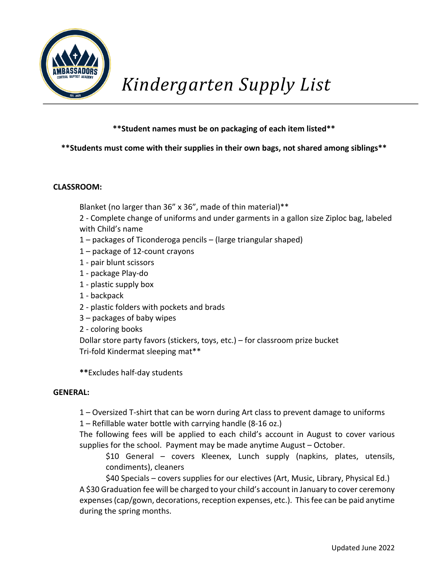

# **\*\*Students must come with their supplies in their own bags, not shared among siblings\*\***

### **CLASSROOM:**

Blanket (no larger than 36" x 36", made of thin material)\*\*

 2 - Complete change of uniforms and under garments in a gallon size Ziploc bag, labeled with Child's name

- 1 packages of Ticonderoga pencils (large triangular shaped)
- 1 package of 12-count crayons
- 1 pair blunt scissors
- 1 package Play-do
- 1 plastic supply box
- 1 backpack
- 2 plastic folders with pockets and brads
- 3 packages of baby wipes
- 2 coloring books

 Dollar store party favors (stickers, toys, etc.) – for classroom prize bucket Tri-fold Kindermat sleeping mat\*\*

**\*\***Excludes half-day students

#### **GENERAL:**

- 1 Oversized T-shirt that can be worn during Art class to prevent damage to uniforms
- 1 Refillable water bottle with carrying handle (8-16 oz.)

 The following fees will be applied to each child's account in August to cover various supplies for the school. Payment may be made anytime August – October.

 \$10 General – covers Kleenex, Lunch supply (napkins, plates, utensils, condiments), cleaners

\$40 Specials – covers supplies for our electives (Art, Music, Library, Physical Ed.)

 A \$30 Graduation fee will be charged to your child's account in January to cover ceremony expenses (cap/gown, decorations, reception expenses, etc.). This fee can be paid anytime during the spring months.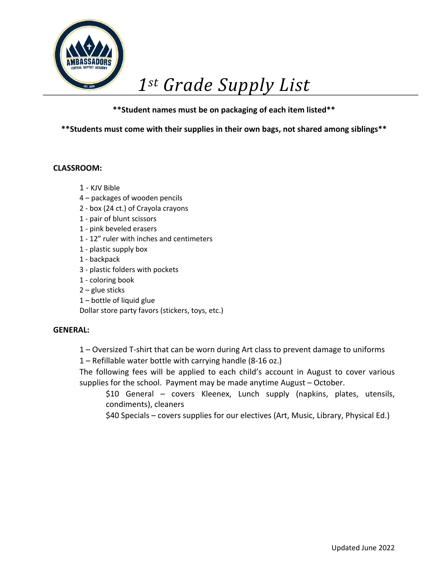

# *1st Grade Supply List*

# **\*\*Student names must be on packaging of each item listed\*\***

**\*\*Students must come with their supplies in their own bags, not shared among siblings\*\***

### **CLASSROOM:**

- 1 KJV Bible
- 4 packages of wooden pencils
- 2 box (24 ct.) of Crayola crayons
- 1 pair of blunt scissors
- 1 pink beveled erasers
- 1 12" ruler with inches and centimeters
- 1 plastic supply box
- 1 backpack
- 3 plastic folders with pockets
- 1 coloring book
- 2 glue sticks
- 1 bottle of liquid glue

Dollar store party favors (stickers, toys, etc.)

#### **GENERAL:**

- 1 Oversized T-shirt that can be worn during Art class to prevent damage to uniforms
- 1 Refillable water bottle with carrying handle (8-16 oz.)
- The following fees will be applied to each child's account in August to cover various supplies for the school. Payment may be made anytime August – October.
	- \$10 General covers Kleenex, Lunch supply (napkins, plates, utensils, condiments), cleaners
	- \$40 Specials covers supplies for our electives (Art, Music, Library, Physical Ed.)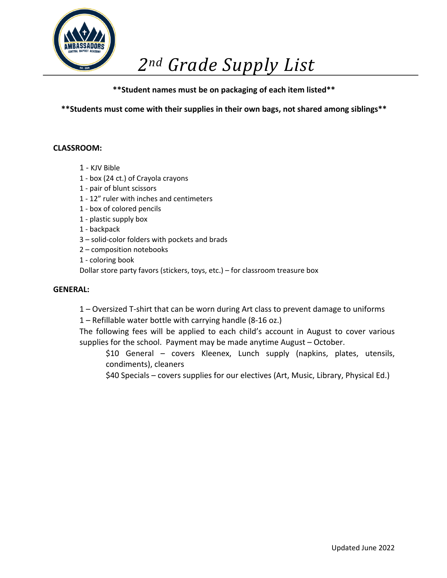

**\*\*Students must come with their supplies in their own bags, not shared among siblings\*\***

### **CLASSROOM:**

- 1 KJV Bible
- 1 box (24 ct.) of Crayola crayons
- 1 pair of blunt scissors
- 1 12" ruler with inches and centimeters
- 1 box of colored pencils
- 1 plastic supply box
- 1 backpack
- 3 solid-color folders with pockets and brads
- 2 composition notebooks
- 1 coloring book

Dollar store party favors (stickers, toys, etc.) – for classroom treasure box

#### **GENERAL:**

- 1 Oversized T-shirt that can be worn during Art class to prevent damage to uniforms
- 1 Refillable water bottle with carrying handle (8-16 oz.)

 The following fees will be applied to each child's account in August to cover various supplies for the school. Payment may be made anytime August – October.

- \$10 General covers Kleenex, Lunch supply (napkins, plates, utensils, condiments), cleaners
- \$40 Specials covers supplies for our electives (Art, Music, Library, Physical Ed.)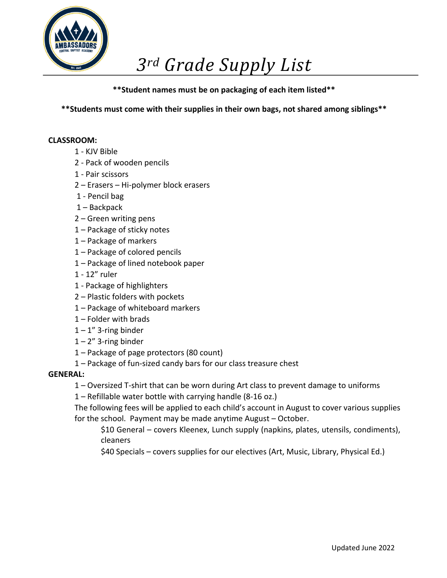

**\*\*Students must come with their supplies in their own bags, not shared among siblings\*\***

### **CLASSROOM:**

- 1 KJV Bible
- 2 Pack of wooden pencils
- 1 Pair scissors
- 2 Erasers Hi-polymer block erasers
- 1 Pencil bag
- 1 Backpack
- 2 Green writing pens
- 1 Package of sticky notes
- 1 Package of markers
- 1 Package of colored pencils
- 1 Package of lined notebook paper
- 1 12" ruler
- 1 Package of highlighters
- 2 Plastic folders with pockets
- 1 Package of whiteboard markers
- 1 Folder with brads
- $1 1$ " 3-ring binder
- $1 2$ " 3-ring binder
- 1 Package of page protectors (80 count)
- 1 Package of fun-sized candy bars for our class treasure chest

### **GENERAL:**

1 – Oversized T-shirt that can be worn during Art class to prevent damage to uniforms

1 – Refillable water bottle with carrying handle (8-16 oz.)

 The following fees will be applied to each child's account in August to cover various supplies for the school. Payment may be made anytime August – October.

 \$10 General – covers Kleenex, Lunch supply (napkins, plates, utensils, condiments), cleaners

\$40 Specials – covers supplies for our electives (Art, Music, Library, Physical Ed.)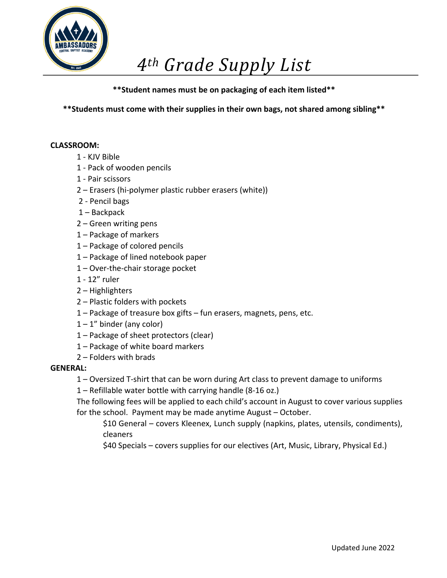

**\*\*Students must come with their supplies in their own bags, not shared among sibling\*\***

### **CLASSROOM:**

- 1 KJV Bible
- 1 Pack of wooden pencils
- 1 Pair scissors
- 2 Erasers (hi-polymer plastic rubber erasers (white))
- 2 Pencil bags
- 1 Backpack
- 2 Green writing pens
- 1 Package of markers
- 1 Package of colored pencils
- 1 Package of lined notebook paper
- 1 Over-the-chair storage pocket
- 1 12" ruler
- 2 Highlighters
- 2 Plastic folders with pockets
- 1 Package of treasure box gifts fun erasers, magnets, pens, etc.
- $1 1$ " binder (any color)
- 1 Package of sheet protectors (clear)
- 1 Package of white board markers
- 2 Folders with brads

### **GENERAL:**

- 1 Oversized T-shirt that can be worn during Art class to prevent damage to uniforms
- 1 Refillable water bottle with carrying handle (8-16 oz.)

 The following fees will be applied to each child's account in August to cover various supplies for the school. Payment may be made anytime August – October.

 \$10 General – covers Kleenex, Lunch supply (napkins, plates, utensils, condiments), cleaners

\$40 Specials – covers supplies for our electives (Art, Music, Library, Physical Ed.)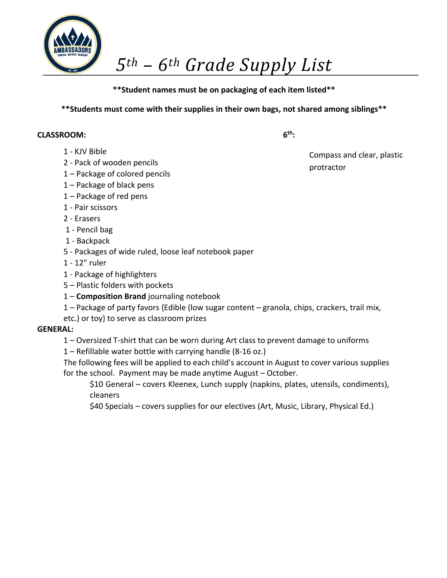

## **\*\*Students must come with their supplies in their own bags, not shared among siblings\*\***

**6th:**

#### **CLASSROOM:**

- 1 KJV Bible
- 2 Pack of wooden pencils
- 1 Package of colored pencils
- 1 Package of black pens
- 1 Package of red pens
- 1 Pair scissors
- 2 Erasers
- 1 Pencil bag
- 1 Backpack
- 5 Packages of wide ruled, loose leaf notebook paper
- 1 12" ruler
- 1 Package of highlighters
- 5 Plastic folders with pockets
- 1 **Composition Brand** journaling notebook
- 1 Package of party favors {Edible (low sugar content granola, chips, crackers, trail mix,
- etc.) or toy} to serve as classroom prizes

### **GENERAL:**

- 1 Oversized T-shirt that can be worn during Art class to prevent damage to uniforms
- 1 Refillable water bottle with carrying handle (8-16 oz.)

 The following fees will be applied to each child's account in August to cover various supplies for the school. Payment may be made anytime August – October.

 \$10 General – covers Kleenex, Lunch supply (napkins, plates, utensils, condiments), cleaners

\$40 Specials – covers supplies for our electives (Art, Music, Library, Physical Ed.)

 Compass and clear, plastic protractor